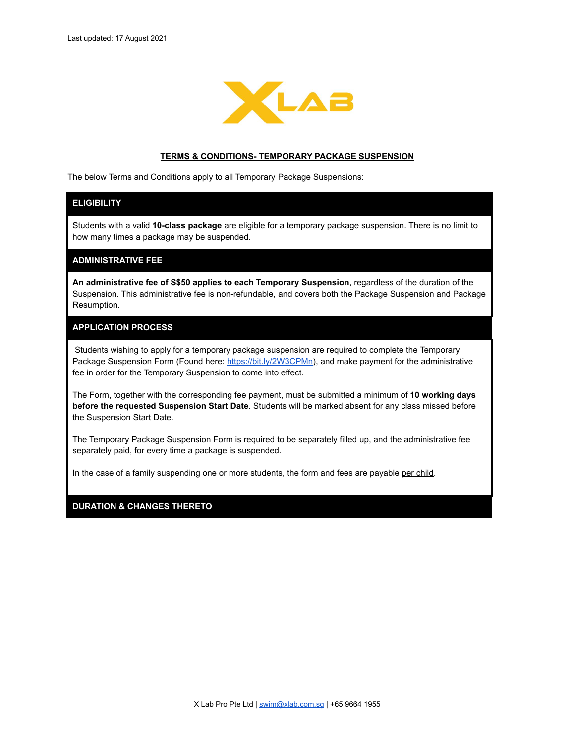

#### **TERMS & CONDITIONS- TEMPORARY PACKAGE SUSPENSION**

The below Terms and Conditions apply to all Temporary Package Suspensions:

# **ELIGIBILITY**

Students with a valid **10-class package** are eligible for a temporary package suspension. There is no limit to how many times a package may be suspended.

## **ADMINISTRATIVE FEE**

**An administrative fee of S\$50 applies to each Temporary Suspension**, regardless of the duration of the Suspension. This administrative fee is non-refundable, and covers both the Package Suspension and Package Resumption.

# **APPLICATION PROCESS**

Students wishing to apply for a temporary package suspension are required to complete the Temporary Package Suspension Form (Found here: <https://bit.ly/2W3CPMn>), and make payment for the administrative fee in order for the Temporary Suspension to come into effect.

The Form, together with the corresponding fee payment, must be submitted a minimum of **10 working days before the requested Suspension Start Date**. Students will be marked absent for any class missed before the Suspension Start Date.

The Temporary Package Suspension Form is required to be separately filled up, and the administrative fee separately paid, for every time a package is suspended.

In the case of a family suspending one or more students, the form and fees are payable per child.

# **DURATION & CHANGES THERETO**